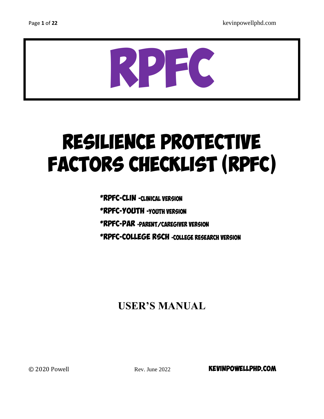

# Resilience Protective Factors Checklist (RPFC)

\*RPFC-Clin -*Clinical Version*

\*RPFC-Youth -*Youth Version*

\*RPFC-PAR *-Parent/Caregiver Version*

\*RPFC-College Rsch *-College Research version* 

# **USER'S MANUAL**

 $\odot$  2020 Powell  $\odot$  Rev. June 2022 **KEVINPOWELLPHD.COM**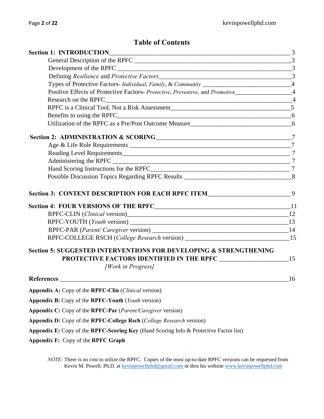# **Table of Contents**

| Types of Protective Factors- Individual, Family, & Community _________________________________4 |    |  |  |  |  |                                                                                                |  |
|-------------------------------------------------------------------------------------------------|----|--|--|--|--|------------------------------------------------------------------------------------------------|--|
|                                                                                                 |    |  |  |  |  | Positive Effects of Protective Factors- Protective, Preventive, and Promotive________________4 |  |
|                                                                                                 |    |  |  |  |  |                                                                                                |  |
|                                                                                                 |    |  |  |  |  |                                                                                                |  |
|                                                                                                 |    |  |  |  |  |                                                                                                |  |
| Utilization of the RPFC as a Pre/Post Outcome Measure<br>6                                      |    |  |  |  |  |                                                                                                |  |
|                                                                                                 |    |  |  |  |  |                                                                                                |  |
|                                                                                                 |    |  |  |  |  |                                                                                                |  |
|                                                                                                 |    |  |  |  |  |                                                                                                |  |
|                                                                                                 |    |  |  |  |  |                                                                                                |  |
|                                                                                                 |    |  |  |  |  |                                                                                                |  |
|                                                                                                 |    |  |  |  |  |                                                                                                |  |
| Section 3: CONTENT DESCRIPTION FOR EACH RPFC ITEM_____________________________9                 |    |  |  |  |  |                                                                                                |  |
|                                                                                                 |    |  |  |  |  |                                                                                                |  |
|                                                                                                 |    |  |  |  |  |                                                                                                |  |
|                                                                                                 |    |  |  |  |  |                                                                                                |  |
|                                                                                                 |    |  |  |  |  |                                                                                                |  |
| RPFC-COLLEGE RSCH (College Research version) ___________________________________15              |    |  |  |  |  |                                                                                                |  |
| <b>Section 5: SUGGESTED INTERVENTIONS FOR DEVELOPING &amp; STRENGTHENING</b>                    |    |  |  |  |  |                                                                                                |  |
| <b>PROTECTIVE FACTORS IDENTIFIED IN THE RPFC 15 15 15</b>                                       |    |  |  |  |  |                                                                                                |  |
| [Work in Progress]                                                                              |    |  |  |  |  |                                                                                                |  |
|                                                                                                 | 16 |  |  |  |  |                                                                                                |  |
| Appendix A: Copy of the RPFC-Clin (Clinical version)                                            |    |  |  |  |  |                                                                                                |  |
| Appendix B: Copy of the RPFC-Youth (Youth version)                                              |    |  |  |  |  |                                                                                                |  |
| Appendix C: Copy of the RPFC-Par (Parent/Caregiver version)                                     |    |  |  |  |  |                                                                                                |  |
| Appendix D: Copy of the RPFC-College Rsch (College Research version)                            |    |  |  |  |  |                                                                                                |  |
| Appendix E: Copy of the RPFC-Scoring Key (Hand Scoring Info & Protective Factor list)           |    |  |  |  |  |                                                                                                |  |
| Appendix F: Copy of the RPFC Graph                                                              |    |  |  |  |  |                                                                                                |  |

*NOTE:* There is no cost to utilize the RPFC. Copies of the most up-to-date RPFC versions can be requested from Kevin M. Powell, Ph.D. at [kevinpowellphd@gmail.com](mailto:kevinpowellphd@gmail.com) or thru his website [www.kevinpowellphd.com](http://www.kevinpowellphd.com/)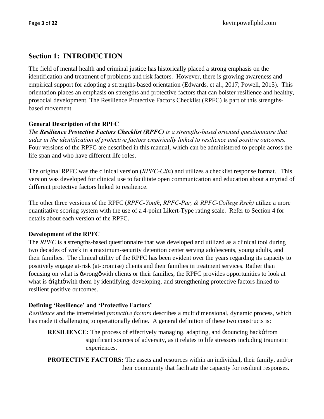# **Section 1: INTRODUCTION**

The field of mental health and criminal justice has historically placed a strong emphasis on the identification and treatment of problems and risk factors. However, there is growing awareness and empirical support for adopting a strengths-based orientation (Edwards, et al., 2017; Powell, 2015). This orientation places an emphasis on strengths and protective factors that can bolster resilience and healthy, prosocial development. The Resilience Protective Factors Checklist (RPFC) is part of this strengthsbased movement.

# **General Description of the RPFC**

*The Resilience Protective Factors Checklist (RPFC) is a strengths-based oriented questionnaire that aides in the identification of protective factors empirically linked to resilience and positive outcomes.* Four versions of the RPFC are described in this manual, which can be administered to people across the life span and who have different life roles.

The original RPFC was the clinical version (*RPFC-Clin*) and utilizes a checklist response format. This version was developed for clinical use to facilitate open communication and education about a myriad of different protective factors linked to resilience.

The other three versions of the RPFC (*RPFC-Youth*, *RPFC-Par, & RPFC-College Rsch)* utilize a more quantitative scoring system with the use of a 4-point Likert-Type rating scale. Refer to Section 4 for details about each version of the RPFC.

# **Development of the RPFC**

The *RPFC* is a strengths-based questionnaire that was developed and utilized as a clinical tool during two decades of work in a maximum-security detention center serving adolescents, young adults, and their families. The clinical utility of the RPFC has been evident over the years regarding its capacity to positively engage at-risk (at-promise) clients and their families in treatment services. Rather than focusing on what is -wrong with clients or their families, the RPFC provides opportunities to look at what is  $\pm$ ight $\emptyset$  with them by identifying, developing, and strengthening protective factors linked to resilient positive outcomes.

# **Defining 'Resilience' and 'Protective Factors'**

*Resilience* and the interrelated *protective factors* describes a multidimensional, dynamic process, which has made it challenging to operationally define. A general definition of these two constructs is:

**RESILIENCE:** The process of effectively managing, adapting, and  $\pm$ bouncing back $\phi$  from significant sources of adversity, as it relates to life stressors including traumatic experiences.

**PROTECTIVE FACTORS:** The assets and resources within an individual, their family, and/or their community that facilitate the capacity for resilient responses.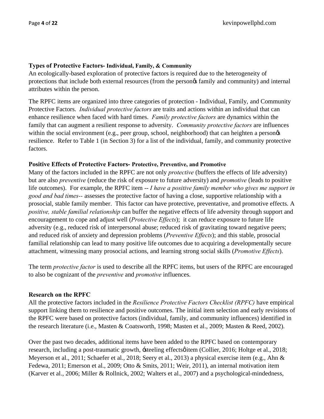## **Types of Protective Factors- Individual, Family, & Community**

An ecologically-based exploration of protective factors is required due to the heterogeneity of protections that include both external resources (from the person $\alpha$  family and community) and internal attributes within the person.

The RPFC items are organized into three categories of protection - Individual, Family, and Community Protective Factors. *Individual protective factors* are traits and actions within an individual that can enhance resilience when faced with hard times. *Family protective factors* are dynamics within the family that can augment a resilient response to adversity. *Community protective factors* are influences within the social environment (e.g., peer group, school, neighborhood) that can heighten a persongs resilience. Refer to Table 1 (in Section 3) for a list of the individual, family, and community protective factors.

## **Positive Effects of Protective Factors- Protective, Preventive, and Promotive**

Many of the factors included in the RPFC are not only *protective* (buffers the effects of life adversity) but are also *preventive* (reduce the risk of exposure to future adversity) and *promotive* (leads to positive life outcomes). For example, the RPFC item -- *I have a positive family member who gives me support in good and bad times--* assesses the protective factor of having a close, supportive relationship with a prosocial, stable family member. This factor can have protective, preventative, and promotive effects. A *positive, stable familial relationship* can buffer the negative effects of life adversity through support and encouragement to cope and adjust well (*Protective Effects*); it can reduce exposure to future life adversity (e.g., reduced risk of interpersonal abuse; reduced risk of gravitating toward negative peers; and reduced risk of anxiety and depression problems (*Preventive Effects*); and this stable, prosocial familial relationship can lead to many positive life outcomes due to acquiring a developmentally secure attachment, witnessing many prosocial actions, and learning strong social skills (*Promotive Effects*).

The term *protective factor* is used to describe all the RPFC items, but users of the RPFC are encouraged to also be cognizant of the *preventive* and *promotive* influences.

## **Research on the RPFC**

All the protective factors included in the *Resilience Protective Factors Checklist (RPFC)* have empirical support linking them to resilience and positive outcomes. The initial item selection and early revisions of the RPFC were based on protective factors (individual, family, and community influences) identified in the research literature (i.e., Masten & Coatsworth, 1998; Masten et al., 2009; Masten & Reed, 2002).

Over the past two decades, additional items have been added to the RPFC based on contemporary research, including a post-traumatic growth,  $\pm$ teeling effects item (Collier, 2016; Holtge et al., 2018; Meyerson et al., 2011; Schaefer et al., 2018; Seery et al., 2013) a physical exercise item (e.g., Ahn & Fedewa, 2011; Emerson et al., 2009; Otto & Smits, 2011; Weir, 2011), an internal motivation item (Karver et al., 2006; Miller & Rollnick, 2002; Walters et al., 2007) and a psychological-mindedness,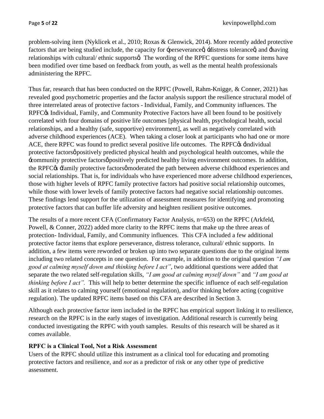problem-solving item (Nyklicek et al., 2010; Roxas & Glenwick, 2014). More recently added protective factors that are being studied include, the capacity for -perseverance idistress tolerance a and -having relationships with cultural/ ethnic supports  $\alpha$ . The wording of the RPFC questions for some items have been modified over time based on feedback from youth, as well as the mental health professionals administering the RPFC.

Thus far, research that has been conducted on the RPFC (Powell, Rahm-Knigge, & Conner, 2021) has revealed good psychometric properties and the factor analysis support the resilience structural model of three interrelated areas of protective factors - Individual, Family, and Community influences. The RPFC $\alpha$  Individual, Family, and Community Protective Factors have all been found to be positively correlated with four domains of positive life outcomes [physical health, psychological health, social relationships, and a healthy (safe, supportive) environment], as well as negatively correlated with adverse childhood experiences (ACE). When taking a closer look at participants who had one or more ACE, there RPFC was found to predict several positive life outcomes. The RPFC $\alpha$  -individual protective factors $\varphi$  positively predicted physical health and psychological health outcomes, while the : community protective factors *o* positively predicted healthy living environment outcomes. In addition, the RPFC $\alpha$  -family protective factorsø moderated the path between adverse childhood experiences and social relationships. That is, for individuals who have experienced more adverse childhood experiences, those with higher levels of RPFC family protective factors had positive social relationship outcomes, while those with lower levels of family protective factors had negative social relationship outcomes. These findings lend support for the utilization of assessment measures for identifying and promoting protective factors that can buffer life adversity and heighten resilient positive outcomes.

The results of a more recent CFA (Confirmatory Factor Analysis, n=653) on the RPFC (Arkfeld, Powell, & Conner, 2022) added more clarity to the RPFC items that make up the three areas of protection- Individual, Family, and Community influences. This CFA included a few additional protective factor items that explore perseverance, distress tolerance, cultural/ ethnic supports. In addition, a few items were reworded or broken up into two separate questions due to the original items including two related concepts in one question. For example, in addition to the original question *"I am good at calming myself down and thinking before I act"*, two additional questions were added that separate the two related self-regulation skills, *"I am good at calming myself down"* and *"I am good at thinking before I act".* This will help to better determine the specific influence of each self-regulation skill as it relates to calming yourself (emotional regulation), and/or thinking before acting (cognitive regulation). The updated RPFC items based on this CFA are described in Section 3.

Although each protective factor item included in the RPFC has empirical support linking it to resilience, research on the RPFC is in the early stages of investigation. Additional research is currently being conducted investigating the RPFC with youth samples. Results of this research will be shared as it comes available.

# **RPFC is a Clinical Tool, Not a Risk Assessment**

Users of the RPFC should utilize this instrument as a clinical tool for educating and promoting protective factors and resilience, and *not* as a predictor of risk or any other type of predictive assessment.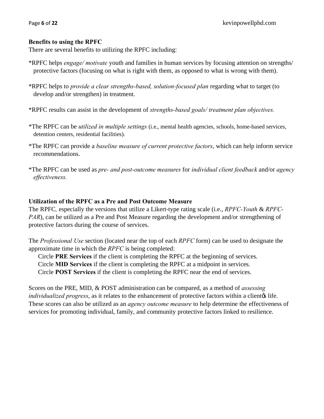## **Benefits to using the RPFC**

There are several benefits to utilizing the RPFC including:

- \*RPFC helps *engage/ motivate* youth and families in human services by focusing attention on strengths/ protective factors (focusing on what is right with them, as opposed to what is wrong with them).
- \*RPFC helps to *provide a clear strengths-based, solution-focused plan* regarding what to target (to develop and/or strengthen) in treatment.
- \*RPFC results can assist in the development of *strengths-based goals/ treatment plan objectives.*
- \*The RPFC can be *utilized in multiple settings* (i.e., mental health agencies, schools, home-based services, detention centers, residential facilities).
- \*The RPFC can provide a *baseline measure of current protective factors*, which can help inform service recommendations.
- \*The RPFC can be used as *pre- and post-outcome measures* for *individual client feedback* and/or *agency effectiveness.*

## **Utilization of the RPFC as a Pre and Post Outcome Measure**

The RPFC*,* especially the versions that utilize a Likert-type rating scale (i.e., *RPFC-Youth* & *RPFC-PAR*), can be utilized as a Pre and Post Measure regarding the development and/or strengthening of protective factors during the course of services.

The *Professional Use* section (located near the top of each *RPFC* form) can be used to designate the approximate time in which the *RPFC* is being completed:

Circle **PRE Services** if the client is completing the RPFC at the beginning of services.

Circle **MID Services** if the client is completing the RPFC at a midpoint in services.

Circle **POST Services** if the client is completing the RPFC near the end of services.

Scores on the PRE, MID, & POST administration can be compared, as a method of *assessing individualized progress*, as it relates to the enhancement of protective factors within a clientos life. These scores can also be utilized as an *agency outcome measure* to help determine the effectiveness of services for promoting individual, family, and community protective factors linked to resilience.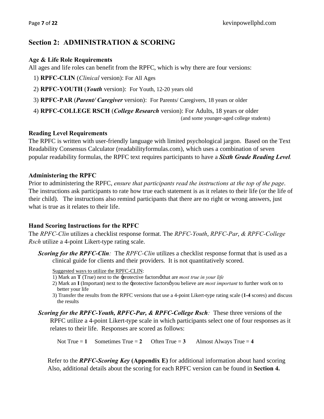# **Section 2: ADMINISTRATION & SCORING**

## **Age & Life Role Requirements**

All ages and life roles can benefit from the RPFC, which is why there are four versions:

- 1) **RPFC-CLIN** (*Clinical* version): For All Ages
- 2) **RPFC-YOUTH** (*Youth* version): For Youth, 12-20 years old
- 3) **RPFC-PAR** (*Parent/ Caregiver* version): For Parents/ Caregivers, 18 years or older
- 4) **RPFC-COLLEGE RSCH** (*College Research* version): For Adults, 18 years or older (and some younger-aged college students)

## **Reading Level Requirements**

The RPFC is written with user-friendly language with limited psychological jargon. Based on the Text Readability Consensus Calculator (readabilityformulas.com), which uses a combination of seven popular readability formulas, the RPFC text requires participants to have a *Sixth Grade Reading Level.*

## **Administering the RPFC**

Prior to administering the RPFC, *ensure that participants read the instructions at the top of the page*. The instructions ask participants to rate how true each statement is as it relates to their life (or the life of their child). The instructions also remind participants that there are no right or wrong answers, just what is true as it relates to their life.

## **Hand Scoring Instructions for the RPFC**

The *RPFC-Clin* utilizes a checklist response format. The *RPFC-Youth*, *RPFC-Par*, *& RPFC-College Rsch* utilize a 4-point Likert-type rating scale.

*Scoring for the RPFC-Clin:* The *RPFC-Clin* utilizes a checklist response format that is used as a clinical guide for clients and their providers. It is not quantitatively scored.

Suggested ways to utilize the RPFC-CLIN:

- 1) Mark an **T** (True) next to the -protective factors othat are *most true in your life*
- 2) Mark an **I** (Important) next to the -protective factorsøy ou believe are *most important* to further work on to better your life
- 3) Transfer the results from the RPFC versions that use a 4-point Likert-type rating scale (**1-4** scores) and discuss the results

*Scoring for the RPFC-Youth, RPFC-Par, & RPFC-College Rsch:* These three versions of the RPFC utilize a 4-point Likert-type scale in which participants select one of four responses as it relates to their life. Responses are scored as follows:

Not True  $= 1$  Sometimes True  $= 2$  Often True  $= 3$  Almost Always True  $= 4$ 

Refer to the *RPFC-Scoring Key* **(Appendix E)** for additional information about hand scoring Also, additional details about the scoring for each RPFC version can be found in **Section 4.**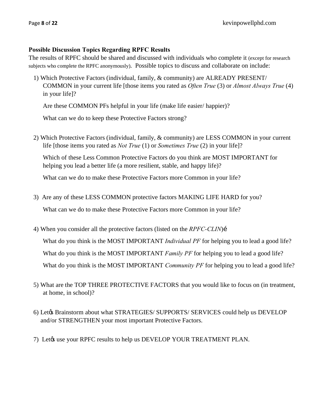## **Possible Discussion Topics Regarding RPFC Results**

The results of RPFC should be shared and discussed with individuals who complete it (except for research subjects who complete the RPFC anonymously). Possible topics to discuss and collaborate on include:

1) Which Protective Factors (individual, family, & community) are ALREADY PRESENT/ COMMON in your current life [those items you rated as *Often True* (3) or *Almost Always True* (4) in your life]?

Are these COMMON PFs helpful in your life (make life easier/ happier)?

What can we do to keep these Protective Factors strong?

2) Which Protective Factors (individual, family, & community) are LESS COMMON in your current life [those items you rated as *Not True* (1) or *Sometimes True* (2) in your life]?

Which of these Less Common Protective Factors do you think are MOST IMPORTANT for helping you lead a better life (a more resilient, stable, and happy life)?

What can we do to make these Protective Factors more Common in your life?

- 3) Are any of these LESS COMMON protective factors MAKING LIFE HARD for you? What can we do to make these Protective Factors more Common in your life?
- 4) When you consider all the protective factors (listed on the *RPFC-CLIN*) i

What do you think is the MOST IMPORTANT *Individual PF* for helping you to lead a good life? What do you think is the MOST IMPORTANT *Family PF* for helping you to lead a good life? What do you think is the MOST IMPORTANT *Community PF* for helping you to lead a good life?

- 5) What are the TOP THREE PROTECTIVE FACTORS that you would like to focus on (in treatment, at home, in school)?
- 6) Let $\alpha$  Brainstorm about what STRATEGIES/ SUPPORTS/ SERVICES could help us DEVELOP and/or STRENGTHEN your most important Protective Factors.
- 7) Let $\alpha$  use your RPFC results to help us DEVELOP YOUR TREATMENT PLAN.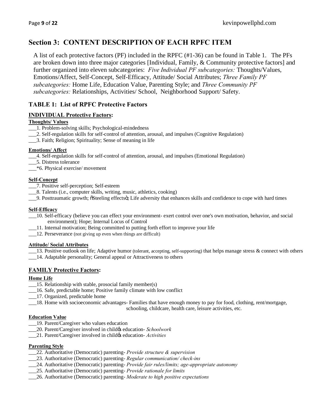# **Section 3: CONTENT DESCRIPTION OF EACH RPFC ITEM**

A list of each protective factors (PF) included in the RPFC (#1-36) can be found in Table 1. The PFs are broken down into three major categories [Individual, Family, & Community protective factors] and further organized into eleven subcategories: *Five Individual PF subcategories:* Thoughts/Values, Emotions/Affect, Self-Concept, Self-Efficacy, Attitude/ Social Attributes; *Three Family PF subcategories:* Home Life, Education Value, Parenting Style; and *Three Community PF subcategories:* Relationships, Activities/ School, Neighborhood Support/ Safety.

# **TABLE 1: List of RPFC Protective Factors**

## **INDIVIDUAL Protective Factors:**

#### **Thoughts/ Values**

- \_\_\_1. Problem-solving skills; Psychological-mindedness
- \_\_\_2. Self-regulation skills for self-control of attention, arousal, and impulses (Cognitive Regulation)
- \_\_\_3. Faith; Religion; Spirituality; Sense of meaning in life

#### **Emotions/ Affect**

- \_\_\_4. Self-regulation skills for self-control of attention, arousal, and impulses (Emotional Regulation)
- \_\_\_5. Distress tolerance
- \_\_\_\*6. Physical exercise/ movement

#### **Self-Concept**

- \_\_\_7. Positive self-perception; Self-esteem
- \_\_\_8. Talents (i.e., computer skills, writing, music, athletics, cooking)
- \_\_\_9. Posttraumatic growth; "Steeling effects"; Life adversity that enhances skills and confidence to cope with hard times

#### **Self-Efficacy**

- \_\_\_10. Self-efficacy (believe you can effect your environment- exert control over one's own motivation, behavior, and social environment); Hope; Internal Locus of Control
- \_\_\_11. Internal motivation; Being committed to putting forth effort to improve your life
- \_\_\_12. Perseverance (not giving up even when things are difficult)

#### **Attitude/ Social Attributes**

- 13. Positive outlook on life; Adaptive humor (tolerant, accepting, self-supporting) that helps manage stress & connect with others
- \_\_\_14. Adaptable personality; General appeal or Attractiveness to others

#### **FAMILY Protective Factors:**

#### **Home Life**

- \_\_\_15. Relationship with stable, prosocial family member(s)
- \_\_\_16. Safe, predictable home; Positive family climate with low conflict
- \_\_\_17. Organized, predictable home
- \_\_\_18. Home with socioeconomic advantages- Families that have enough money to pay for food, clothing, rent/mortgage,

schooling, childcare, health care, leisure activities, etc.

#### **Education Value**

- \_\_\_19. Parent/Caregiver who values education
- \_\_\_20. Parent/Caregiver involved in child's education- *Schoolwork*
- \_\_\_21. Parent/Caregiver involved in child's education- *Activities*

#### **Parenting Style**

- \_\_\_22. Authoritative (Democratic) parenting- *Provide structure & supervision*
- \_\_\_23. Authoritative (Democratic) parenting- *Regular communication/ check-ins*
- \_\_\_24. Authoritative (Democratic) parenting- *Provide fair rules/limits; age-appropriate autonomy*
- \_\_\_25. Authoritative (Democratic) parenting- *Provide rationale for limits*
- \_\_\_26. Authoritative (Democratic) parenting- *Moderate to high positive expectations*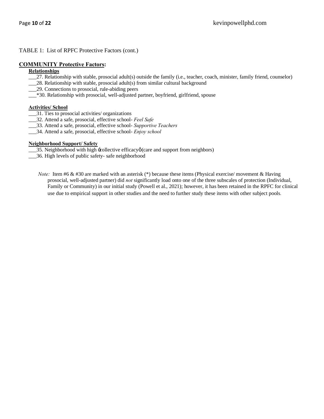#### TABLE 1: List of RPFC Protective Factors (cont.)

#### **COMMUNITY Protective Factors:**

#### **Relationships**

- \_\_\_27. Relationship with stable, prosocial adult(s) outside the family (i.e., teacher, coach, minister, family friend, counselor)
- \_\_\_28. Relationship with stable, prosocial adult(s) from similar cultural background
- \_\_\_29. Connections to prosocial, rule-abiding peers
- \_\_\_\*30. Relationship with prosocial, well-adjusted partner, boyfriend, girlfriend, spouse

#### **Activities/ School**

- \_\_\_31. Ties to prosocial activities/ organizations
- \_\_\_32. Attend a safe, prosocial, effective school- *Feel Safe*
- \_\_\_33. Attend a safe, prosocial, effective school- *Supportive Teachers*
- \_\_\_34. Attend a safe, prosocial, effective school- *Enjoy school*

#### **Neighborhood Support/ Safety**

- \_35. Neighborhood with high  $\pm$ collective efficacyø(care and support from neighbors)
- \_\_\_36. High levels of public safety- safe neighborhood
	- *Note:* Item #6 & #30 are marked with an asterisk (\*) because these items (Physical exercise/ movement & Having prosocial, well-adjusted partner) did *not* significantly load onto one of the three subscales of protection (Individual, Family or Community) in our initial study (Powell et al., 2021); however, it has been retained in the RPFC for clinical use due to empirical support in other studies and the need to further study these items with other subject pools.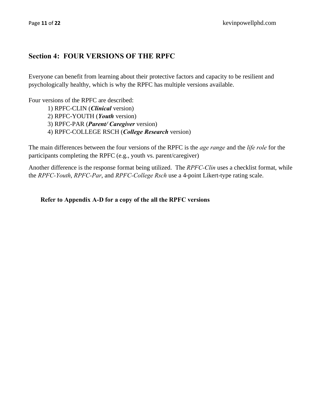# **Section 4: FOUR VERSIONS OF THE RPFC**

Everyone can benefit from learning about their protective factors and capacity to be resilient and psychologically healthy, which is why the RPFC has multiple versions available.

Four versions of the RPFC are described:

1) RPFC-CLIN (*Clinical* version)

2) RPFC-YOUTH (*Youth* version)

3) RPFC-PAR (*Parent/ Caregiver* version)

4) RPFC-COLLEGE RSCH (*College Research* version)

The main differences between the four versions of the RPFC is the *age range* and the *life role* for the participants completing the RPFC (e.g., youth vs. parent/caregiver)

Another difference is the response format being utilized. The *RPFC-Clin* uses a checklist format, while the *RPFC-Youth*, *RPFC-Par*, and *RPFC-College Rsch* use a 4-point Likert-type rating scale.

**Refer to Appendix A-D for a copy of the all the RPFC versions**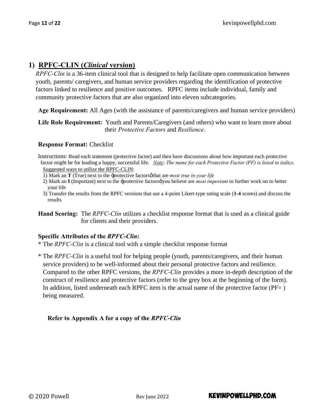# **1) RPFC-CLIN (***Clinical* **version)**

*RPFC-Clin* is a 36-item clinical tool that is designed to help facilitate open communication between youth, parents/ caregivers, and human service providers regarding the identification of protective factors linked to resilience and positive outcomes. RPFC items include individual, family and community protective factors that are also organized into eleven subcategories.

**Age Requirement:** All Ages (with the assistance of parents/caregivers and human service providers)

**Life Role Requirement:** Youth and Parents/Caregivers (and others) who want to learn more about their *Protective Factors* and *Resilience*.

## **Response Format:** Checklist

Instructions: Read each statement (protective factor) and then have discussions about how important each protective factor might be for leading a happy, successful life. *Note: The name for each Protective Factor (PF) is listed in italics.* Suggested ways to utilize the RPFC-CLIN:

1) Mark an **T** (True) next to the -protective factors othat are *most true in your life* 

- 2) Mark an **I** (Important) next to the -protective factors you believe are *most important* to further work on to better your life
- 3) Transfer the results from the RPFC versions that use a 4-point Likert-type rating scale (**1-4** scores) and discuss the results
- **Hand Scoring:** The *RPFC-Clin* utilizes a checklist response format that is used as a clinical guide for clients and their providers.

## **Specific Attributes of the** *RPFC-Clin***:**

\* The *RPFC-Clin* is a clinical tool with a simple checklist response format

\* The *RPFC-Clin* is a useful tool for helping people (youth, parents/caregivers, and their human service providers) to be well-informed about their personal protective factors and resilience. Compared to the other RPFC versions, the *RPFC-Clin* provides a more in-depth description of the construct of resilience and protective factors (refer to the grey box at the beginning of the form). In addition, listed underneath each RPFC item is the actual name of the protective factor ( $PF=$  ) being measured.

# **Refer to Appendix A for a copy of the** *RPFC-Clin*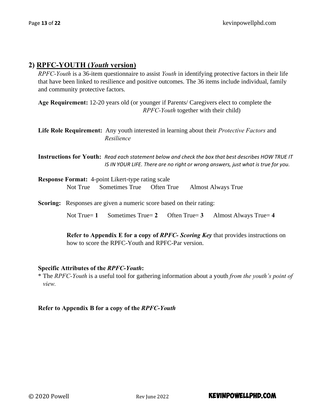# **2) RPFC-YOUTH (***Youth* **version)**

*RPFC-Youth* is a 36-item questionnaire to assist *Youth* in identifying protective factors in their life that have been linked to resilience and positive outcomes. The 36 items include individual, family and community protective factors.

**Age Requirement:** 12-20 years old (or younger if Parents/ Caregivers elect to complete the *RPFC-Youth* together with their child)

**Life Role Requirement:** Any youth interested in learning about their *Protective Factors* and *Resilience*

**Instructions for Youth:** *Read each statement below and check the box that best describes HOW TRUE IT IS IN YOUR LIFE. There are no right or wrong answers, just what is true for you.* 

| <b>Response Format:</b> 4-point Likert-type rating scale |                                    |  |                    |  |
|----------------------------------------------------------|------------------------------------|--|--------------------|--|
|                                                          | Not True Sometimes True Often True |  | Almost Always True |  |

**Scoring:** Responses are given a numeric score based on their rating:

Not True= **1** Sometimes True= **2** Often True= **3** Almost Always True= **4**

**Refer to Appendix E for a copy of** *RPFC- Scoring Key* that provides instructions on how to score the RPFC-Youth and RPFC-Par version.

## **Specific Attributes of the** *RPFC-Youth***:**

\* The *RPFC-Youth* is a useful tool for gathering information about a youth *from the youth's point of view.*

## **Refer to Appendix B for a copy of the** *RPFC-Youth*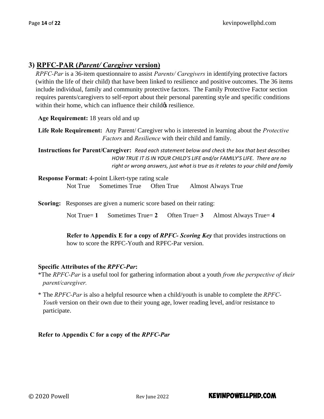# **3) RPFC-PAR (***Parent/ Caregiver* **version)**

*RPFC-Par* is a 36-item questionnaire to assist *Parents/ Caregivers* in identifying protective factors (within the life of their child) that have been linked to resilience and positive outcomes. The 36 items include individual, family and community protective factors. The Family Protective Factor section requires parents/caregivers to self-report about their personal parenting style and specific conditions within their home, which can influence their child *is* resilience.

**Age Requirement:** 18 years old and up

**Life Role Requirement:** Any Parent/ Caregiver who is interested in learning about the *Protective Factors* and *Resilience* with their child and family.

**Instructions for Parent/Caregiver:** *Read each statement below and check the box that best describes HOW TRUE IT IS IN YOUR CHILD'S LIFE and/or FAMILY'S LIFE. There are no right or wrong answers, just what is true as it relates to your child and family*

| <b>Response Format:</b> 4-point Likert-type rating scale |                                    |  |                    |  |  |
|----------------------------------------------------------|------------------------------------|--|--------------------|--|--|
|                                                          | Not True Sometimes True Often True |  | Almost Always True |  |  |

**Scoring:** Responses are given a numeric score based on their rating:

Not True= **1** Sometimes True= **2** Often True= **3** Almost Always True= **4**

**Refer to Appendix E for a copy of** *RPFC- Scoring Key* that provides instructions on how to score the RPFC-Youth and RPFC-Par version.

## **Specific Attributes of the** *RPFC-Par***:**

- \*The *RPFC-Par* is a useful tool for gathering information about a youth *from the perspective of their parent/caregiver.*
- \* The *RPFC-Par* is also a helpful resource when a child/youth is unable to complete the *RPFC-Youth* version on their own due to their young age, lower reading level, and/or resistance to participate.

**Refer to Appendix C for a copy of the** *RPFC-Par*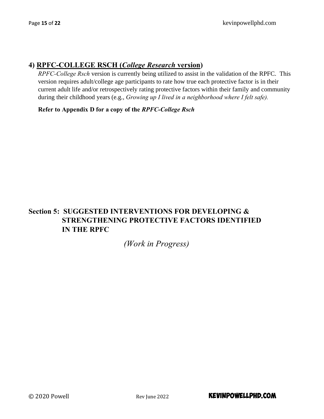# **4) RPFC-COLLEGE RSCH (***College Research* **version)**

*RPFC-College Rsch* version is currently being utilized to assist in the validation of the RPFC. This version requires adult/college age participants to rate how true each protective factor is in their current adult life and/or retrospectively rating protective factors within their family and community during their childhood years (e.g., *Growing up I lived in a neighborhood where I felt safe).*

**Refer to Appendix D for a copy of the** *RPFC-College Rsch*

# **Section 5: SUGGESTED INTERVENTIONS FOR DEVELOPING & STRENGTHENING PROTECTIVE FACTORS IDENTIFIED IN THE RPFC**

# *(Work in Progress)*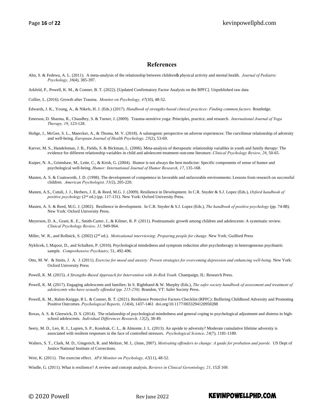#### **References**

- Ahn, S. & Fedewa, A. L. (2011). A meta-analysis of the relationship between children's physical activity and mental health. *Journal of Pediatric Psychology, 36*(4), 385-397.
- Arkfeld, P., Powell, K. M., & Conner, B. T. (2022). [Updated Confirmatory Factor Analysis on the RPFC]. Unpublished raw data
- Collier, L. (2016). Growth after Trauma. *Monitor on Psychology, 47*(10), 48-52.
- Edwards, J. K., Young, A., & Nikels, H. J. (Eds.) (2017). *Handbook of strengths-based clinical practices: Finding common factors.* Routledge.
- Emerson, D. Sharma, R., Chaudhry, S. & Turner, J. (2009). Trauma-sensitive yoga: Principles, practice, and research. *International Journal of Yoga Therapy, 19*, 123-128.
- Holtge, J., McGee, S. L., Maercker, A., & Thoma, M. V. (2018). A salutogenic perspective on adverse experiences: The curvilinear relationship of adversity and well-being. *European Journal of Health Psychology, 25*(2), 53-69.
- Karver, M. S., Handelsman, J. B., Fields, S. & Bickman, L. (2006). Meta-analysis of therapeutic relationship variables in youth and family therapy: The evidence for different relationship variables in child and adolescent treatment outcome literature. *Clinical Psychology Review, 26*, 50-65.
- Kuiper, N. A., Grimshaw, M., Leite, C., & Kirsh, G. (2004). Humor is not always the best medicine: Specific components of sense of humor and psychological well-being. *Humor: International Journal of Humor Research, 17*, 135-168.
- Masten, A. S. & Coatsworth, J. D. (1998). The development of competence in favorable and unfavorable environments: Lessons from research on successful children*. American Psychologist, 53(*2), 205-220.
- Masten, A.S., Cutuli, J. J., Herbers, J. E, & Reed, M.G. J. (2009). Resilience in Development. In C.R. Snyder & S.J. Lopez (Eds.), *Oxford handbook of positive psychology* (2nd ed.) (pp. 117-131). New York: Oxford University Press.
- Masten, A. S. & Reed, M.G. J. (2002). Resilience in development. In C.R. Snyder & S.J. Lopez (Eds.), *The handbook of positive psychology* (pp. 74-88). New York: Oxford University Press.
- Meyerson, D. A., Grant, K. E., Smith-Carter, J., & Kilmer, R. P. (2011). Posttraumatic growth among children and adolescents: A systematic review. *Clinical Psychology Review, 31,* 949-964.
- Miller, W. R., and Rollnick, S. (2002) (2nd ed.). *Motivational interviewing: Preparing people for change.* New York: Guilford Press
- Nyklicek, I, Majoor, D., and Schalken, P. (2010). Psychological mindedness and symptom reduction after psychotherapy in heterogeneous psychiatric sample. *Comprehensive Psychiatry,* 51, 492-496.
- Otto, M. W. & Smits, J. A. J. (2011). *Exercise for mood and anxiety: Proven strategies for overcoming depression and enhancing well-being.* New York: Oxford University Press
- Powell, K. M. (2015). *A Strengths-Based Approach for Intervention with At-Risk Youth.* Champaign, IL: Research Press.
- Powell, K. M. (2017). Engaging adolescents and families: In S. Righthand & W. Murphy (Eds.), *The safer society handbook of assessment and treatment of adolescents who have sexually offended (pp. 215-250).* Brandon, VT: Safer Society Press.
- Powell, K. M., Rahm-Knigge, R L. & Conner, B. T. (2021). Resilience Protective Factors Checklist (RPFC): Buffering Childhood Adversity and Promoting Positive Outcomes. *Psychological Reports, 124*(4), 1437-1461 [doi.org/10.1177/0033294120950288](https://doi.org/10.1177%2F0033294120950288)
- Roxas, A. S. & Glenwick, D. S. (2014). The relationship of psychological mindedness and general coping to psychological adjustment and distress in highschool adolescents. *Individual Differences Research, 12*(2), 38-49.
- Seery, M. D., Leo, R. J., Lupien, S. P., Kondrak, C. L., & Almonte, J. L. (2013). An upside to adversity? Moderate cumulative lifetime adversity is associated with resilient responses in the face of controlled stressors. *Psychological Science, 24*(7), 1181-1189.
- Walters, S. T., Clark, M. D., Gingerich, R. and Meltzer, M. L. (June, 2007). *Motivating offenders to change: A guide for probation and parole.* US Dept of Justice National Institute of Corrections.
- Weir, K. (2011). The exercise effect. *APA Monitor on Psychology, 42*(11), 48-52.
- Windle, G. (2011). What is resilience? A review and concept analysis. *Reviews in Clinical Gerontology, 21*, 1526169.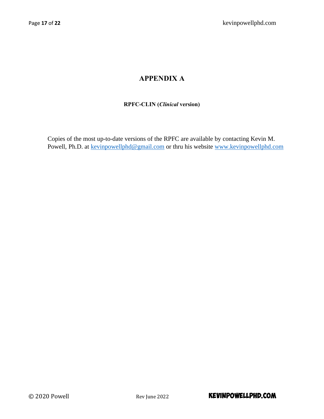# **APPENDIX A**

# **RPFC-CLIN (***Clinical* **version)**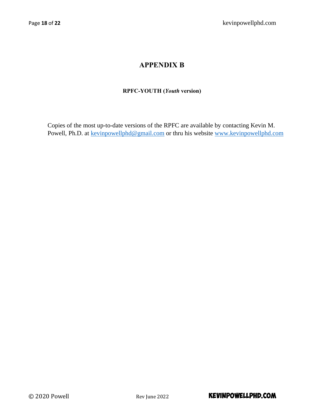# **APPENDIX B**

# **RPFC-YOUTH (***Youth* **version)**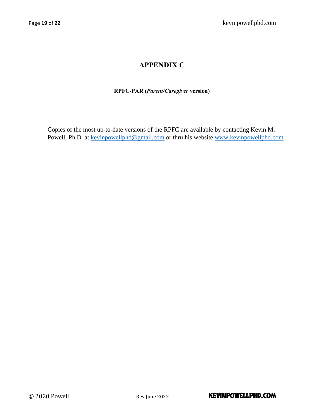# **APPENDIX C**

# **RPFC-PAR (***Parent/Caregiver* **version)**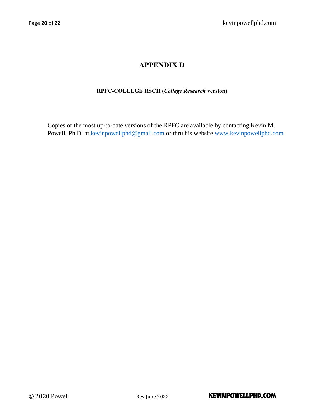# **APPENDIX D**

# **RPFC-COLLEGE RSCH (***College Research* **version)**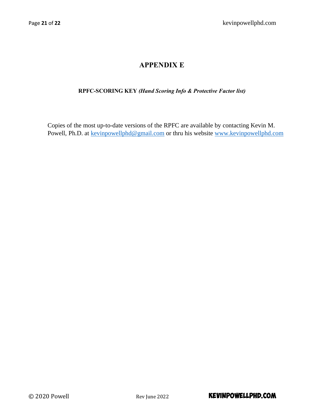# **APPENDIX E**

# **RPFC-SCORING KEY** *(Hand Scoring Info & Protective Factor list)*